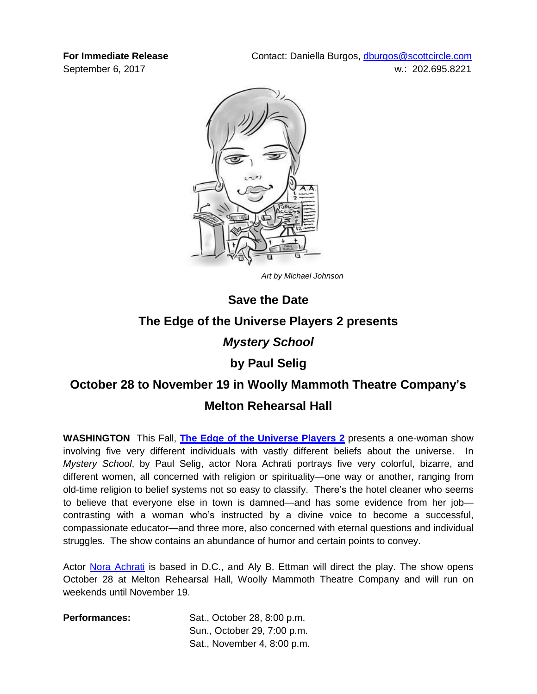**For Immediate Release The Contact: Daniella Burgos, [dburgos@scottcircle.com](mailto:dburgos@scottcircle.com)** 

September 6, 2017 w.: 202.695.8221



 *Art by Michael Johnson*

## **Save the Date The Edge of the Universe Players 2 presents** *Mystery School* **by Paul Selig**

## **October 28 to November 19 in Woolly Mammoth Theatre Company's Melton Rehearsal Hall**

**WASHINGTON** This Fall, **The Edge of the [Universe](http://www.universeplayers2.org/wp/) Players 2** presents a one-woman show involving five very different individuals with vastly different beliefs about the universe. In *Mystery School*, by Paul Selig, actor Nora Achrati portrays five very colorful, bizarre, and different women, all concerned with religion or spirituality—one way or another, ranging from old-time religion to belief systems not so easy to classify. There's the hotel cleaner who seems to believe that everyone else in town is damned—and has some evidence from her job contrasting with a woman who's instructed by a divine voice to become a successful, compassionate educator—and three more, also concerned with eternal questions and individual struggles. The show contains an abundance of humor and certain points to convey.

Actor [Nora Achrati](http://www.norafachrati.com/) is based in D.C., and Aly B. Ettman will direct the play. The show opens October 28 at Melton Rehearsal Hall, Woolly Mammoth Theatre Company and will run on weekends until November 19.

**Performances:** Sat., October 28, 8:00 p.m. Sun., October 29, 7:00 p.m. Sat., November 4, 8:00 p.m.